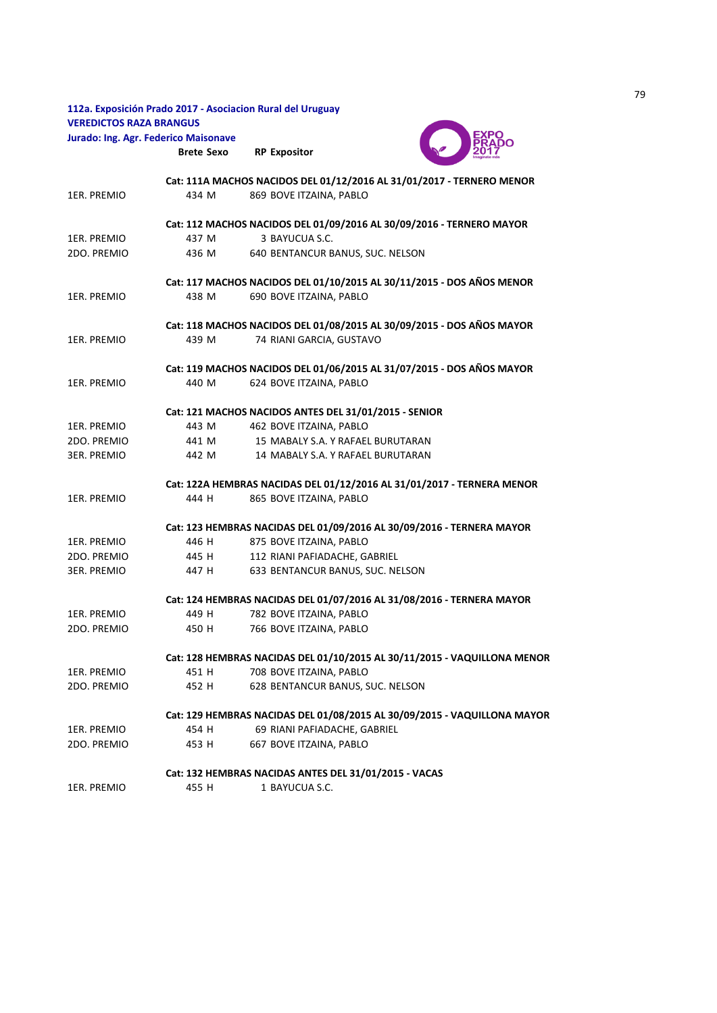|                                      |                   | 112a. Exposición Prado 2017 - Asociacion Rural del Uruguay               |  |
|--------------------------------------|-------------------|--------------------------------------------------------------------------|--|
| <b>VEREDICTOS RAZA BRANGUS</b>       |                   |                                                                          |  |
| Jurado: Ing. Agr. Federico Maisonave |                   |                                                                          |  |
|                                      | <b>Brete Sexo</b> | <b>RP Expositor</b>                                                      |  |
|                                      |                   | Cat: 111A MACHOS NACIDOS DEL 01/12/2016 AL 31/01/2017 - TERNERO MENOR    |  |
| 1ER. PREMIO                          | 434 M             | 869 BOVE ITZAINA, PABLO                                                  |  |
|                                      |                   | Cat: 112 MACHOS NACIDOS DEL 01/09/2016 AL 30/09/2016 - TERNERO MAYOR     |  |
| 1ER. PREMIO                          | 437 M             | 3 BAYUCUA S.C.                                                           |  |
| 2DO. PREMIO                          | 436 M             | 640 BENTANCUR BANUS, SUC. NELSON                                         |  |
|                                      |                   | Cat: 117 MACHOS NACIDOS DEL 01/10/2015 AL 30/11/2015 - DOS AÑOS MENOR    |  |
| 1ER. PREMIO                          | 438 M             | 690 BOVE ITZAINA, PABLO                                                  |  |
|                                      |                   | Cat: 118 MACHOS NACIDOS DEL 01/08/2015 AL 30/09/2015 - DOS AÑOS MAYOR    |  |
| 1ER. PREMIO                          | 439 M             | 74 RIANI GARCIA, GUSTAVO                                                 |  |
|                                      |                   | Cat: 119 MACHOS NACIDOS DEL 01/06/2015 AL 31/07/2015 - DOS AÑOS MAYOR    |  |
| 1ER. PREMIO                          | 440 M             | 624 BOVE ITZAINA, PABLO                                                  |  |
|                                      |                   | Cat: 121 MACHOS NACIDOS ANTES DEL 31/01/2015 - SENIOR                    |  |
| 1ER. PREMIO                          | 443 M             | 462 BOVE ITZAINA, PABLO                                                  |  |
| 2DO. PREMIO                          | 441 M             | 15 MABALY S.A. Y RAFAEL BURUTARAN                                        |  |
| <b>3ER. PREMIO</b>                   | 442 M             | 14 MABALY S.A. Y RAFAEL BURUTARAN                                        |  |
|                                      |                   | Cat: 122A HEMBRAS NACIDAS DEL 01/12/2016 AL 31/01/2017 - TERNERA MENOR   |  |
| 1ER. PREMIO                          | 444 H             | 865 BOVE ITZAINA, PABLO                                                  |  |
|                                      |                   | Cat: 123 HEMBRAS NACIDAS DEL 01/09/2016 AL 30/09/2016 - TERNERA MAYOR    |  |
| 1ER. PREMIO                          | 446 H             | 875 BOVE ITZAINA, PABLO                                                  |  |
| 2DO. PREMIO                          | 445 H             | 112 RIANI PAFIADACHE, GABRIEL                                            |  |
| <b>3ER. PREMIO</b>                   | 447 H             | 633 BENTANCUR BANUS, SUC. NELSON                                         |  |
|                                      |                   | Cat: 124 HEMBRAS NACIDAS DEL 01/07/2016 AL 31/08/2016 - TERNERA MAYOR    |  |
| 1ER. PREMIO                          | 449 H             | 782 BOVE ITZAINA, PABLO                                                  |  |
| 2DO. PREMIO                          | 450 H             | 766 BOVE ITZAINA, PABLO                                                  |  |
|                                      |                   | Cat: 128 HEMBRAS NACIDAS DEL 01/10/2015 AL 30/11/2015 - VAQUILLONA MENOR |  |
| 1ER. PREMIO                          | 451 H             | 708 BOVE ITZAINA, PABLO                                                  |  |
| 2DO. PREMIO                          | 452 H             | 628 BENTANCUR BANUS, SUC. NELSON                                         |  |
|                                      |                   | Cat: 129 HEMBRAS NACIDAS DEL 01/08/2015 AL 30/09/2015 - VAQUILLONA MAYOR |  |
| 1ER. PREMIO                          | 454 H             | 69 RIANI PAFIADACHE, GABRIEL                                             |  |
| 2DO. PREMIO                          | 453 H             | 667 BOVE ITZAINA, PABLO                                                  |  |
|                                      |                   | Cat: 132 HEMBRAS NACIDAS ANTES DEL 31/01/2015 - VACAS                    |  |
| 1ER. PREMIO                          | 455 H             | 1 BAYUCUA S.C.                                                           |  |